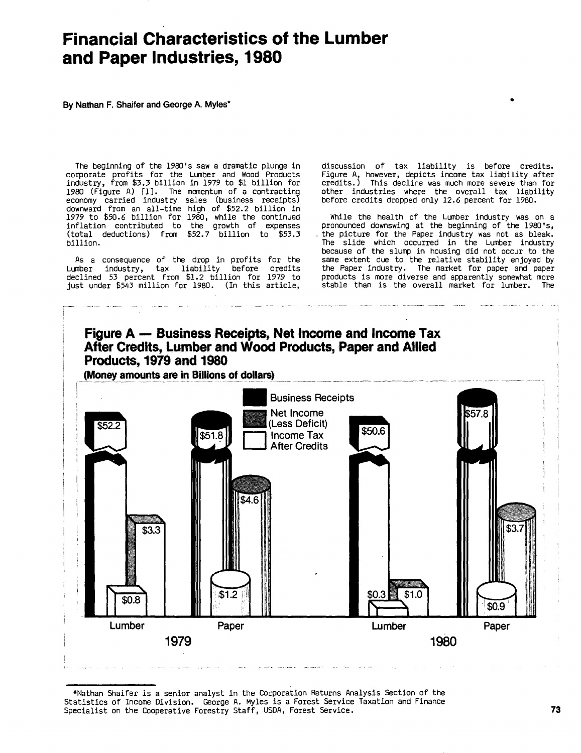# Financial Characteristics of the Lumber and Paper Industries, **1980**

**By** Nathan F. Shaifer and George **A.** Myles\*

The beginning of the 1980's saw a dramatic plunge in corporate profits for the Lumber and Wood Products industry, from 0.3 billion in **<sup>1979</sup>** to **\$1** billion for **1980** (Figure **A) (1].** The momentum of <sup>a</sup> contracting economy carried industry sales (business receipts) downward from an all-time high of **\$52.2** billion in **<sup>1979</sup>** to **\$50.6** billion for **1980,** while the continued inflation contributed to the growth of expenses (total deductions) from \$52.7 billion to \$53.3 billion.

As <sup>a</sup> consequence of the drop in profits for the Lumber industry, tax liability before credits declined **<sup>53</sup>** percent from \$1.2 billion for **<sup>1979</sup>** to just under \$543 million for 1980. (In this article, discussion of tax liability is before credits. Figure **A,** however, depicts income tax liability after credits.) This decline was much more severe than for other industries where the overall tax liability before credits dropped only **12.6** percent for **1980.**

**D**

While the health of the Lumber industry was on a pronounced downswing at the beginning of the 1980's, the picture for the Paper industry was not as bleak. The slide which occurred in the Lumber industry because of the slump in housing did not occur to the same extent due to the relative stability enjoyed **by** the Paper industry. The market for paper and paper products is more diverse and apparently somewhat more<br>stable than is the overall market for lumber. The stable than is the overall market for lumber.



\*Nathan Shaifer is a senior analyst in the Corporation Returns Analysis Section of the Statistics of Income Division. George **A.** Myles is <sup>a</sup> Forest Service Taxation and Finance Specialist on the Cooperative Forestry Staff, **USDA,** Forest Service. **73**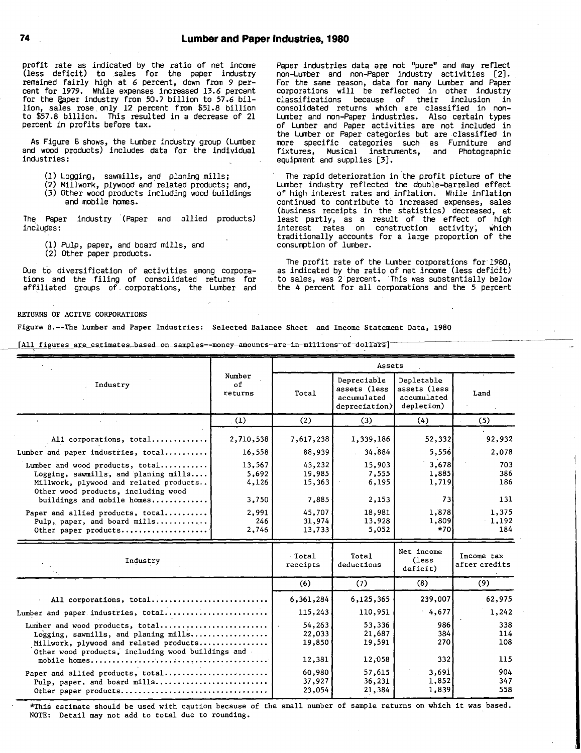profit rate as indicated **by** the ratio of net income (less deficit) to sales for the paper industry remained fairly high at **<sup>6</sup>** percent, down from **<sup>9</sup>** percent for **1979.** While expenses increased **13.6** percent for the F.aper industry from **50.7** billion to **57.6** billion, sales rose.only <sup>12</sup> percent from **\$51.8** billion to **\$57.8** billion. This resulted in <sup>a</sup> decrease of <sup>21</sup> percent in profits before tax.

As Figure **6** shows, the Lumber industry group (Lumber and wood products) includes data for the individual industries:

- **(1)** Logging, sawmills, and planing mills;
- (2) Millwork, plywood and'related products; and,
- **(3)** Other wood products including wood buildings and mobile homes.

The Paper industry (Paper and allied products) includes:

- **(1)** Pulp, paper, and board mills, and
- (2) Other paper products.

Due to diversification of activities among corpora-tions and the filing of consolidated returns for affiliated groups of. corporations, the Lumber and Paper industries data are not "pure" and may reflect non-Lumber and non-Paper industry activities (2]. For the same reason, data for many Lumber and Paper corporations will be reflected in other industry classifications because of their inclusion in consolidated returns which are classified in non-Lumber and non-Paper industries. Also certain types of Lumber and Paper activities are not included in the Lumber or Paper categories but are classified in more specific categories such as Furniture and fixtures, Musical instruments, and Photographic equipment and supplies **[3j.**

The rapid deterioration in the profit picture of the Lumber industry reflected the double-barreled effect of high interest rates and inflation. While inflation continued to contribute to increased expenses, sales (business receipts in the statistics) decreased, at least partly, as <sup>a</sup> result of the effect of high interest rates on construction activity; which traditionally accounts for <sup>a</sup> large proportion of the consumption of lumber.

The profit rate of the Lumber corporations for **1980,** as indicated **by** the ratio of net income (less defi6it) to sales, was 2 percent. This was substantially below the 4 percent for all corporations and the **5** percent

## RETURNS OF ACTIVE CORPORATIONS

Figure B.--The Lumber and Paper Industries: Selected Balance Sheet and Income Statement Data, **1980**

[All figures are estimates\_based\_on\_samples--money\_amounts-are-in-millions-of-dollars]

|                                                                                                                                                                                        |                                      | Assets                               |                                                             |                                                         |                             |  |  |  |  |
|----------------------------------------------------------------------------------------------------------------------------------------------------------------------------------------|--------------------------------------|--------------------------------------|-------------------------------------------------------------|---------------------------------------------------------|-----------------------------|--|--|--|--|
| Industry                                                                                                                                                                               | Number<br>of<br>returns              | Total                                | Depreciable<br>assets (less<br>accumulated<br>depreciation) | Depletable<br>assets (less<br>accumulated<br>depletion) | Land                        |  |  |  |  |
|                                                                                                                                                                                        | (1)                                  | (2)                                  | (3)                                                         | (4)                                                     | (5)                         |  |  |  |  |
| All corporations, total                                                                                                                                                                | 2,710,538                            | 7,617,238                            | 1,339,186                                                   | 52,332                                                  | 92,932                      |  |  |  |  |
| Lumber and paper industries, total                                                                                                                                                     | 16,558                               | 88,939                               | 34,884                                                      | 5,556                                                   | 2,078                       |  |  |  |  |
| Lumber and wood products, total<br>Logging, sawmills, and planing mills<br>Millwork, plywood and related products<br>Other wood products, including wood<br>buildings and mobile homes | 13,567<br>5,692<br>4,126<br>3,750    | 43,232<br>19,985<br>15,363<br>7,885  | 15,903<br>7,555<br>6,195<br>2,153                           | 3,678<br>1,885<br>1,719<br>731                          | 703<br>386<br>186<br>131    |  |  |  |  |
| Paper and allied products, total<br>Pulp, paper, and board mills<br>Other paper products                                                                                               | 2,991<br>246<br>2,746                | 45,707<br>31,974<br>13,733           | 18,981<br>13,928<br>5,052                                   | 1,878<br>1,809<br>$*70$                                 | 1,375<br>1,192<br>184       |  |  |  |  |
| Industry                                                                                                                                                                               |                                      | Total<br>receipts                    | Total<br>deductions                                         | Net income<br>(less<br>deficit)                         | Income tax<br>after credits |  |  |  |  |
|                                                                                                                                                                                        |                                      | (6)                                  | (7)                                                         | (8)                                                     | (9)                         |  |  |  |  |
| All corporations, total                                                                                                                                                                |                                      | 6,361,284                            | 6,125,365                                                   | 239,007                                                 | 62,975                      |  |  |  |  |
| Lumber and paper industries, total                                                                                                                                                     |                                      | 115,243                              | 110,951                                                     | 4,677                                                   | 1,242                       |  |  |  |  |
| Lumber and wood products, total<br>Logging, sawmills, and planing mills<br>Millwork, plywood and related products<br>Other wood products, including wood buildings and                 | 54,263<br>22,033<br>19,850<br>12,381 | 53,336<br>21,687<br>19,591<br>12,058 | 986<br>384<br>270<br>332                                    | 338<br>114<br>108<br>115                                |                             |  |  |  |  |
| Paper and allied products, total<br>Pulp, paper, and board mills<br>Other paper products                                                                                               | 60,980<br>37,927<br>23,054           | 57,615<br>36,231<br>21,384           | 3,691<br>1,852<br>1,839                                     | 904<br>347<br>558                                       |                             |  |  |  |  |

\*This estimate should be used with caution because of the small number of sample returns on which it was based. **NOTE:** Detail may not add to total due to rounding.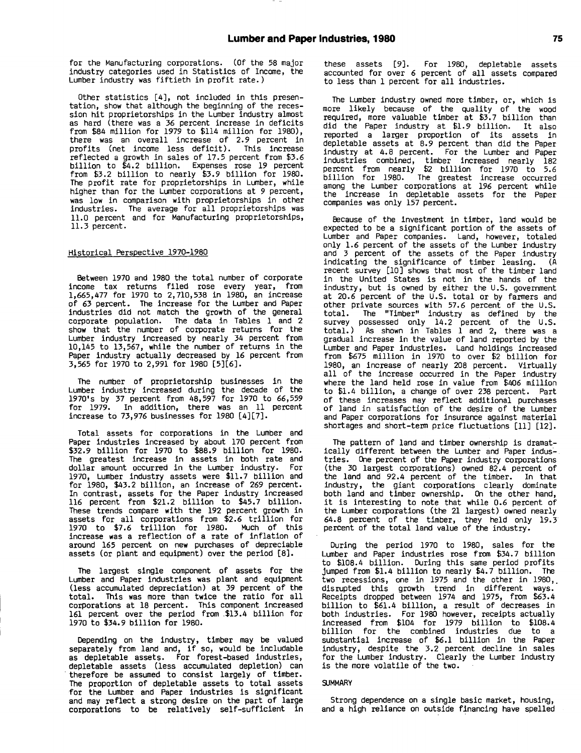for the Manufacturing corporations. **(Of** the **<sup>58</sup>** major industry categories used in Statistics of Income, the Lumber industry was fiftieth in profit rate.)

Other statistics [41, not included in this presentation, show that although the beginning of the recession hit proprietorships in the Lumber industry almost as hard (there was <sup>a</sup> **<sup>36</sup>** percent increase in deficits from \$84 million for **1979** to \$114 million for **1980),** there was an overall increase of **2.9** percent in profits (net income less deficit). This increase reflected <sup>a</sup> growth in sales of **17.5** percent from **\$3.6** billion to \$4.2 billion. Expenses rose 19 percent from 0.2 billion to nearly **\$3.9** billion for **1980.** The profit rate for proprietorships in Lumber, while higher than for the Lumber corporations at **<sup>9</sup>** percent, was low in comparison with proprietorships in other industries. The average for all proprietorships was 11.0 percent and for Manufacturing proprietorships, **11.3** percent.

#### Historical Perspective **1970-1980**

Between **<sup>1970</sup>** and **<sup>1980</sup>** the total number of corporate income tax returns filed rose every year, from **1,665,477** for **1970** to **2,710,538** in **1980,** an increase of **63** percent. The increase for the Lumber and Paper industries did not match the growth of the general corporate population. The data in Tables **<sup>1</sup>** and 2 show that the number of corporate returns for the Lumber industry increased **by** nearly 34 percent from 10,145 to **13,567,** while the number of returns in the Paper industry actually decreased **by <sup>16</sup>** percent from **3,565** for **1970** to **2,991** for **1980 [5][6].**

The number of proprietorship businesses in the Lumber industry increased during the decade of the 1970's **by 37** percent from **48,597** for **1970** to **66,559** for **1979.** In addition, there was an **11** percent increase to **73,976** businesses for **1980** (4][7].

Total assets for corporations in the Lumber and Paper industries increased **by** about **170** percent from **\$32.9** billion for **<sup>1970</sup>** to **\$88.9** billion for **1980.** The greatest increase in assets in both rate and dollar amount occurred in the Lumber industry. For **1970,** Lumber industry assets were **\$11.7** billion and for **1980,** \$43.2 billion, an increase of **<sup>269</sup>** percent. In contrast, assets for the Paper industry increased **<sup>116</sup>** percent from \$21.2 billion to \$45.7 billion. These trends compare with the **192** percent growth in assets for all corporations from **\$2.6** trillion for **<sup>1970</sup>** to **\$7.6** trillion for **1980.** Much of this increase was <sup>a</sup> reflection of <sup>a</sup> rate of inflation of around **165** percent on new purchases of depreciable assets (or plant and equipment) over the period **[8].**

The largest single component of assets for the Lumber and Paper industries was plant and equipment (less accumulated depreciation) at **<sup>39</sup>** percent of the total. This was more than twice the ratio for all corporations at **<sup>18</sup>** percent. This component increased **<sup>161</sup>** percent over the period from \$13.4 billion for **<sup>1970</sup>** to \$34.9 billion for **1980.**

Depending on the industry, timber may be valued separately from land and, **If** so, would be includable as depletable assets. For forest-based industries, depletable assets (less accumulated depletion) can therefore be assumed to consist largely of timber. The proportion of depletable assets to total assets for the Lumber and Paper industries is significant and may reflect <sup>a</sup> strong desire on the part of large corporations to be relatively self-sufficient in these assets **(9].** For **1980,** depletable assets accounted for over **<sup>6</sup>** percent of all assets compared to less than **<sup>1</sup>** percent for all industries.

The Lumber industry owned more timber, or, which is more likely because of the quality of the wood required, more valuable timber at **\$3.7** billion than did the Paper industry at **\$1.9** billion. It also reported a larger proportion of its assets in depletable assets at **8.9** percent than did the Paper industry at 4.8 percent. For the Lumber and Paper industries combined, timber increased nearly **182** percent from nearly \$2 billion for **1970** to **5.6** billion for **1980.** The greatest increase occurred among the Lumber corporations at **196** percent while the increase in depletable assets for the Paper companies was only **157** percent.

Because of the investment in timber, land would be expected to be <sup>a</sup> significant portion of the assets of Lumber and Paper companies. Land, however, totaled only **1.6** percent of the assets of the Lumber industry and **<sup>3</sup>** percent of the assets of the Paper industry indicating the significance of timber leasing. **(A** recent survey **[101** shows that most of the timber land in the United States is not in the hands of the industry, but is owned **by** either the **U.S.** government at **20.6** percent of the **U.S.** total or **by** farmers and other private sources with **57.6** percent of the **U.S.** total. The "Timber" industry as defined **by** the survey possessed only 14.2 percent of the **U.S.** total.) As shown in Tables **<sup>1</sup>** and 2, there was <sup>a</sup> gradual increase in the value of land reported **by** the Lumber and Paper industries. Land holdings increased from **~675** million in **<sup>1970</sup>** to over \$2 billion for **1980,** an increase of nearly **<sup>208</sup>** percent. Virtually all of the increase occurred in the Paper industry where the land held rose in value from \$406 million to tl.4 billion, <sup>a</sup> change of over **<sup>238</sup>** percent. Part of these increases may reflect additional purchases of land in satisfaction of the desire of the Lumber and Paper corporations for insurance against material shortages and short-term price fluctuations **[111** (12].

The pattern of land and timber ownership is dramatically different between the Lumber and Paper Industries. One percent of the Paper industry corporations (the **30** largest corporations) owned 82.4 percent of the land and 92.4 percent of the timber. In that industry, the giant corporations clearly dominate both land and timber ownership. On the other hand, it is interesting to note that while **0.6** percent of the Lumber corporations (the <sup>21</sup> largest) owned nearly 64.8 percent of the timber, they held only **19.3** percent of the total land value of the industry.

During the period **<sup>1970</sup>** to **1980,** sales for the Lumber and Paper industries rose from \$34.7 billion to \$108.4 billion. During this same period profits Jumped from \$1.4 billion to nearly \$4.7 billion. The two recessions, one in **1975** and the other in **1980,.** disrupted this growth trend in different ways. Receipts dropped between 1974 and **1975,** from **U3.4** billion to \$61.4 billion, a result of decreases in both industries. For **1980** however, receipts actually increased from \$104 for **<sup>1979</sup>** billion to \$108.4 billion for the combined industries due to <sup>a</sup> substantial increase of **\$6.1** billion in the Paper industry, despite the **3.2** percent decline in sales for the Lumber industry. Clearly the Lumber industry is the more volatile of the two.

#### **SUMMARY**

Strong dependence on a single basic market, housing, and a high reliance on outside financing have spelled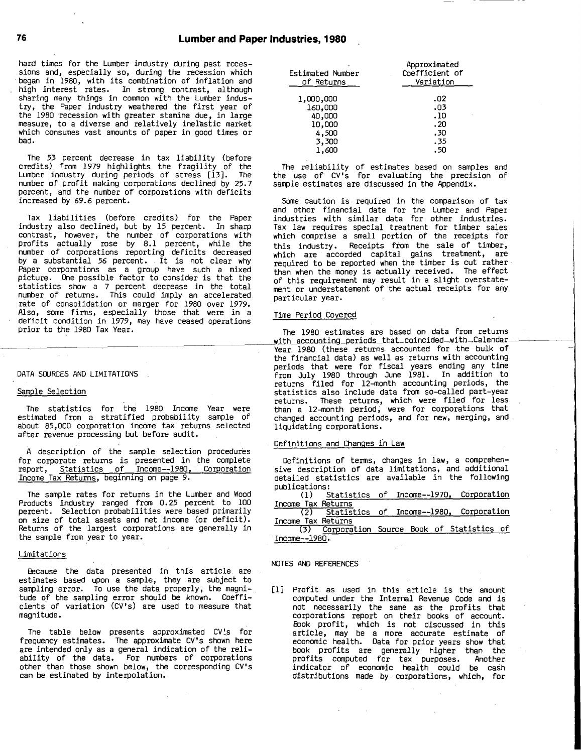hard times for the Lumber industry during past recessions and, especially so, during the recession which began in **1980,** with its combination of inflation and high interest rates. In strong contrast, although sharing many things in common with the Lumber industry, the Paper industry weathered the first year of the **1980** recession with greater stamina due, in large measure, to <sup>a</sup> diverse and relatively inelastic market which consumes vast amounts of paper in good times or bad.

The **<sup>53</sup>** percent decrease in tax liability (before credits) from **<sup>1979</sup>** highlights the fragility of the Lumber industry during periods of stress **[13].** The number of profit making corporations declined **by 25.7** percent, and the number of corporations with deficits increased **by 69.6** percent.

Tax liabilities (before credits) for the Paper industry also declined, but **by 15** percent. In sharp contrast, however, the number of corporations with profits actually rose **by 8.1** percent, while the number of corporations reporting deficits decreased **by** <sup>a</sup> substantial **<sup>56</sup>** percent. It is not clear why Paper corporations as a group have such a mixed picture. One possible factor to consider is that the statistics show <sup>a</sup> **<sup>7</sup>** percent decrease in the total number of returns. This could imply an accelerated. rate of consolidation or merger for **1980** over **1979.** Also, some firms, especially those that were in a deficit condition in **1979,** may have ceased operations prior to the **<sup>1980</sup>** Tax Year.

#### **DATA SOURCES AND** LIMITATIONS **.**

## Sample Selection

The statistics for the **<sup>1980</sup>** Income Year were estimated from <sup>a</sup> stratified probability sample of about **85,000** corporation income tax returns selected after revenue processing but before audit.

**<sup>A</sup>** description of the sample selection procedures for corporate returns is presented in the complete report, Statistics of Income--1980, Corporation Income Tax Returns, beginning on page **9.**

The sample rates for returns in the Lumber and Wood Products industry ranged from **0.25** percent to **100** percent. Selection probabilities were based primarily on size of total assets and net income (or deficit). Returns of the largest corporations are generally in the sample from year to year.

#### Limitations

Because the data presented in this article. are estimates based upon <sup>a</sup> sample, they are subject to sampling error. To use the data properly, the magnitude o **f** the sampling error should be known. Coeffi-**'** cients of variation (CV1s) are used to measure that magnitude.

The table below presents approximated CV's for frequency estimates. The approximate CV's shown here are intended only as a general indication of the reliability of the data. For numbers of corporations other than those shown below, the corresponding CV's can be estimated **by** interpolation.

| Estimated Number<br>of Returns | Approximated<br>Coefficient of<br>Variation |
|--------------------------------|---------------------------------------------|
| 1,000,000                      | 02ء                                         |
| 160,000                        | 03.                                         |
| 40,000                         | .10                                         |
| 10,000                         | .20                                         |
| 4,500                          | .30                                         |
| 3,300                          | . 35                                        |
| 1,600                          | . 50                                        |

The reliability of estimates based on samples and the use of CV's for evaluating the precision of sample estimates are discussed in the Appendix.

Some caution is. required in the comparison of tax and other financial data for the Lumber and Paper industries with similar data for other industries. Tax law requires special treatment for timber sales which comprise <sup>a</sup> small portion of the receipts for this industry. Receipts from the sale of timber, which are accorded capital gains treatment, are required to be reported when the timber is cut rather than when the money is actually received. The effect of this requirement may result in <sup>a</sup> slight overstatement or understatement of the actual receipts for any particular year.

## Time Period Covered

The **1980** estimates are based on data from returns with accounting-periods-that-coincided-with-Calendar Year **<sup>1980</sup>** (these returns accounted for the bulk of the financial data) as well as returns with accounting periods that were for fiscal years ending any time from July **1980** through June **1981.** In addition to returns filed for 12-month accounting periods, the statistics also include data from so-called part-year returns. These returns, which were filed for less than <sup>a</sup> 12-month period; were for corporations that changed accounting periods, and for new, merging, and liquidating corporations.

# Definitions and Changes in Law

Definitions of terms, changes in law, <sup>a</sup> comprehensive description of data limitations, and additional detailed statistics are available in the following publications:

|                    |  |  | (1) Statistics of Income--1970, Corporation |
|--------------------|--|--|---------------------------------------------|
| Income Tax Returns |  |  |                                             |
|                    |  |  | 75) CL Lillian - Princesse 1000 Companishes |

|                    | (2) Statistics of Income--1980, Corporation  |  |  |  |
|--------------------|----------------------------------------------|--|--|--|
| Income Tax Returns |                                              |  |  |  |
|                    | (3) Corporation Source Book of Statistics of |  |  |  |
|                    |                                              |  |  |  |

Income--1980.

## **NOTES AND REFERENCES**

**[I]** Profit as used in this article is the amount computed under the Internal Revenue Code and is not necessarily the same as the profits that corporations report on their books of account. Book profit, which is not discussed in this article, may be <sup>a</sup> more accurate estimate of economic health. Data for prior years show that book profits are generally higher than the profits computed for tax purposes. Another indicator of economic health could be cash distributions made **by** corporations, which, for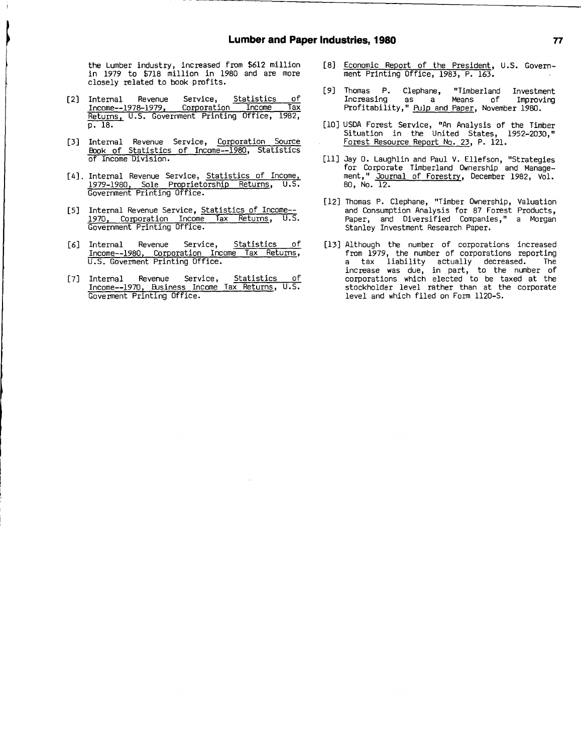the Lumber industry, increased from **\$612** million in 1979 to \$718 million in 1980 and are more closely related to book profits.

- [2] Internal Revenue Service, Statistics **of** <u>Income--1978-1979, Corporation Income Tax</u> Returns, **U.S.** Government Printing Office, **1982, p. 18.**
- **[3]** Internal Revenue Service, Corporation. Source Book of Statistics of Income--1980, Statistics of Income Division.
- [4]. Internal Revenue Service, Statistics of Income, **1979-1980,** Sole Proprietorship Returns, **U.S.** Government Printing Office.
- [5] Internal Revenue Service, **Statistics of Income--**<br>1970. Corporation Income Tax Returns, U.S. **1970,** Corporation Income Tax Returns, **U.S.** Government Printing Office.
- **[61** Internal Revenue Service, Statistics **of** Income--1980, Corporation Income Tax Returns, **U.S.** Goverment Printing Office.
- **[71** Internal Revenue Service, Statistics **of** Income--1970, Eusiness Income Tax Returns, **U.S.** Goverment Printing Office.
- **[8]** Economic Report of the President, **U.S.** Government Printing Office, **1983,** P. **163.**
- **[91** Thomas P. Clephane, "Timberland Investment Increasing as a Means **of** Improving Profitability," Pulp and Paper, November **1980.**
- **[10] USDA** Forest Service, "An Analysis of the Timber Situation in the United States, **1952-2030,11** Forest Resource Report No. **23,** P. 121.
- **[111** Jay **0.** Laughlin and Paul V. Ellefson, "Strategies for Corporate Timberland Ownership and Management," Journal of Forestry, December **1982,** Vol. **80,** No. 12.
- [121 Thomas P. Clephane, "Timber Ownership, Valuation and Consumption Analysis for **87** Forest Products, Paper, and Diversified Companies," <sup>a</sup> Morgan Stanley Investment Research Paper.
- [13] Although the number of corporations increased from **1979,** the number of corporations reporting a tax liability actually decreased. The increase was due, in part, to the number of corporations which elected to be taxed at the stockholder level rather than at the corporate level and which filed on Form **1120-S.**